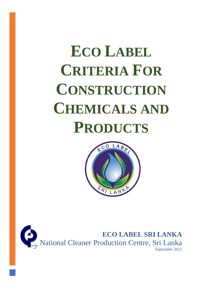# **ECO LABEL CRITERIA FOR CONSTRUCTION CHEMICALS AND PRODUCTS**



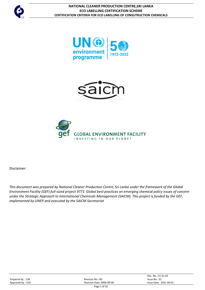







Disclaimer:

*This document was prepared by National Cleaner Production Centre, Sri Lanka under the framework of the Global Environment Facility (GEF) full-sized project 9771: Global best practices on emerging chemical policy issues of concern under the Strategic Approach to International Chemicals Management (SAICM). This project is funded by the GEF, implemented by UNEP and executed by the SAICM Secretariat*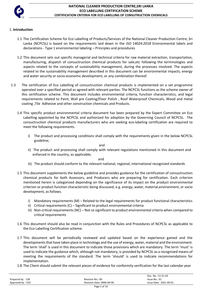

# 1. **Introduction**

- 1.1 The Certification Scheme for Eco Labelling of Products/Services of the National Cleaner Production Centre, Sri Lanka (NCPCSL) is based on the requirements laid down in the *ISO 14024:2018* Environmental labels and declarations - Type 1 environmental labeling – Principles and procedures
- 1.2 This document sets out specific managerial and technical criteria for raw material extraction, transportation, manufacturing, dispatch of consuctruction chemical products for sale,etc following the terminologies and aspects related to the concepts of sustainability management, during the processes involved. The aspects related to the sustainability management described in this document can be environmental impacts, energy and water security or socio-economic development, or any combination thereof.
- 1.3 The certification of Eco Labelling of consuctruction chemical products is implemented on a set programme operated over a specified period as agreed with relevant parties. The NCPCSL functions as the scheme owner of this certification scheme. This document includes environmental criteria, function characteristics, and legal requirements related to Paint, Wall pre Coating/Floor Polish , Roof Waterproof Chemicals, Wood and metal coating ,Tile Adhesive and other construction chemicals and Products.
	- 1.4 This specific product environmental criteria document has been prepared by the Expert Committee on Eco Labelling appointed by the NCPCSL and authorized for adoption by the Governing Council of NCPCSL. The consuctruction chemical products manufacturers who are seeking eco-labeling certification are required to meet the following requirements.
		- i) The product and processing conditions shall comply with the requirements given in the below NCPCSL guideline;

and

ii) The product and processing shall comply with relevant regulations mentioned in this document and enforced in the country, as applicable;

and

- iii) The product should conform to the relevant national, regional, international recognized standards
- 1.5 This document supplements the below guideline and provides guidance for the certification of consuctruction chemical products for both Assessors, and Producers who are preparing for certification. Each criterion mentioned herein is categorized depending on the significance of its impact on the product environmental criterion or product function characteristic being discussed, e.g. energy, water, material,environment, or socio development, as follows.
	- i) Mandatory requirements (M) Related to the legal requirements for product functional characteristics
	- ii) Critical requirements (C) Significant to product environmental criteria
	- iii) Non-critical requirements (NC) Not so significant to product environmental criteria when compared to critical requirements
- 1.6 This document should also be read in conjunction with the Rules and Procedures of NCPCSL as applicable to the Eco Labelling Certification scheme.
- 1.7 This document will be periodically reviewed and updated based on the experience gained and the developments that have taken place in technology and the use of energy, water, material and the environment. The term 'shall' is used in this document to indicate those provisions which are mandatory. The term 'must' is used to indicate the guidance which, although not mandatory, is provided by NCPCSL as a recognized means of meeting the requirements of the standard. The term 'should' is used to indicate recommendations for implementation.
- 1.8 The Client should submit the relevant pieces of evidence for conformity verification for the last calendar year

|                   |                           | Doc. No.: CC-EL-03     |
|-------------------|---------------------------|------------------------|
| Prepared by : CM  | Revision No.: 00          | Issue No.: 01          |
| Approved by : CEO | Revision Date: 0000-00-00 | Issue Date: 2021-09-01 |
|                   | Diag 2 of 16              |                        |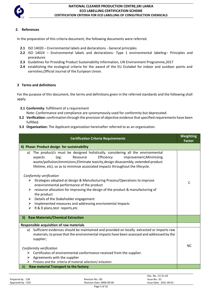

# **2. References**

In the preparation of this criteria document, the following documents were referred.

- **2.1** ISO 14020 Environmental labels and declarations General principles
- **2.2** ISO 14024 Environmental labels and declarations- Type 1 environmental labeling– Principles and procedures
- **2.3** Guidelines for Providing Product Sustainability Information, UN Environment Programme,2017
- **2.4** establishing the ecological criteria for the award of the EU Ecolabel for indoor and outdoor paints and varnishes,Official Journal of the Euripean Union.

## **3 Terms and definitions**

For the purpose of this document, the terms and definitions given in the referred standards and the following shall apply.

**3.1 Conformity**: fulfillment of a requirement

Note: Conformance and compliance are synonymously used for conformity but deprecated.

- **3.2 Verification:** confirmation through the provision of objective evidence that specified requirements have been fulfilled.
- **3.3 Organization:** The Applicant organization hereinafter referred to as an organization.

| <b>Certification Criteria Requirements</b>                                                                                                                                                                                                                                                                                            | Weighting<br><b>Factor</b> |
|---------------------------------------------------------------------------------------------------------------------------------------------------------------------------------------------------------------------------------------------------------------------------------------------------------------------------------------|----------------------------|
| 4) Phase: Product design for sustainability                                                                                                                                                                                                                                                                                           |                            |
| The product/s must be designed holistically, considering all the environmental<br>a)<br>Efficiency<br>(eg:<br>Resource<br>aspects<br>improvement, Minimizing<br>waste/pollution/emmisions, Eliminate toxicity, design disassembly, extended product<br>lifetime, etc), so as to minimize associated impacts throughout the lifecycle. |                            |
| Conformity verification                                                                                                                                                                                                                                                                                                               |                            |
| $\triangleright$ Strategies adopted at design & Manufacturing Process/Operations to improve<br>enevironmental performance of the product                                                                                                                                                                                              | C                          |
| resource allocation for improving the design of the product & manufacturing of<br>the product                                                                                                                                                                                                                                         |                            |
| Details of the Stakeholder engagement<br>➤                                                                                                                                                                                                                                                                                            |                            |
| Implemented measures and addressing envrionemtal Impacts<br>➤                                                                                                                                                                                                                                                                         |                            |
| R & D plans, test reports, etc<br>➤                                                                                                                                                                                                                                                                                                   |                            |
| <b>Raw Materials/Chemical Extraction</b><br>5)                                                                                                                                                                                                                                                                                        |                            |
| <b>Responsible acquisition of raw materials</b>                                                                                                                                                                                                                                                                                       |                            |
| Sufficient evidences should be maintained and provided on locally extracted or imports raw<br>a)                                                                                                                                                                                                                                      |                            |
| materials, to prove that the environmental impacts have been assessed and addressed by the                                                                                                                                                                                                                                            |                            |
| supplier;                                                                                                                                                                                                                                                                                                                             |                            |
| Conformity verification                                                                                                                                                                                                                                                                                                               | NC.                        |
| $\triangleright$ Certificates of environmental conformance received from the supplier.                                                                                                                                                                                                                                                |                            |
| Agreements with the supplier<br>➤                                                                                                                                                                                                                                                                                                     |                            |
| Process and the criteria of material selection/ evlaution                                                                                                                                                                                                                                                                             |                            |
| Raw material Transport to the factory<br>6)                                                                                                                                                                                                                                                                                           |                            |

Prepared by : CM **Prepared by : CM** Revision No.: 00 **ISSUE NO.: 01** ISSUE No.: 01 Approved by : CEO **Revision Date: 0000-00-00** Issue Date: 2021-09-01 Page 3 of 16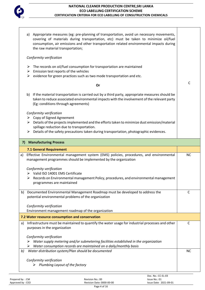

|    | Appropriate measures (eg: pre-planning of transportation, avoid un necessary movements,<br>a)<br>covering of materials during transportation, etc) must be taken to minimize oil/fuel<br>consumption, air emissions and other transportation related environmental impacts during<br>the raw material transportation; |           |
|----|-----------------------------------------------------------------------------------------------------------------------------------------------------------------------------------------------------------------------------------------------------------------------------------------------------------------------|-----------|
|    | Conformity verification                                                                                                                                                                                                                                                                                               |           |
|    | The records on oil/fuel consumption for transportation are maintained<br>➤<br>Emission test reports of the vehicles<br>➤                                                                                                                                                                                              |           |
|    | evidence for green practices such as two mode transportation and etc.<br>➤                                                                                                                                                                                                                                            |           |
|    | Or                                                                                                                                                                                                                                                                                                                    | C         |
|    | If the material transportation is carried out by a third party, appropriate measures should be<br>b)<br>taken to reduce associated environmental impacts with the involvement of the relevant party<br>(Eg: conditions through agreements)                                                                            |           |
|    | Conformity verification                                                                                                                                                                                                                                                                                               |           |
|    | Copy of Signed Agreement<br>➤<br>Details of the projects implemented and the efforts taken to minimize dust emission/material<br>➤                                                                                                                                                                                    |           |
|    | spillage reduction due to transportation.                                                                                                                                                                                                                                                                             |           |
|    | Details of the safety precautions taken during transportation, photographic evidences.                                                                                                                                                                                                                                |           |
| 7) | <b>Manufacturing Process</b>                                                                                                                                                                                                                                                                                          |           |
|    | 7.1 General Requirement                                                                                                                                                                                                                                                                                               |           |
| a) | Effective Environmental management system (EMS) policies, procedures, and environmental<br>management programmes should be implemented by the organization                                                                                                                                                            | <b>NC</b> |
|    | Conformity verification                                                                                                                                                                                                                                                                                               |           |
|    | Valid ISO 14001 EMS Certificate                                                                                                                                                                                                                                                                                       |           |
|    | Records on Environmental management Policy, procedures, and environmental management<br>➤<br>programmes are maintained                                                                                                                                                                                                |           |
| b) | Documented Environmental Management Roadmap must be developed to address the                                                                                                                                                                                                                                          | C         |
|    | potential environmental problems of the organization                                                                                                                                                                                                                                                                  |           |
|    | Conformity verification<br>Environment management roadmap of the organization                                                                                                                                                                                                                                         |           |
|    | 7.2 Water resource consumption and conservation                                                                                                                                                                                                                                                                       |           |
| a) | Infrastructure must be maintained to quantify the water usage for industrial processes and other                                                                                                                                                                                                                      | C         |
|    | purposes in the organization                                                                                                                                                                                                                                                                                          |           |
|    | Conformity verification                                                                                                                                                                                                                                                                                               |           |
|    | Water supply metering and/or submetering facilities established in the organization<br>Water consumption records are maintained on a daily/monthly basis                                                                                                                                                              |           |
| b) | Water distribution system/Plan should be documented                                                                                                                                                                                                                                                                   | <b>NC</b> |
|    | Conformity verification                                                                                                                                                                                                                                                                                               |           |
|    | Plumbing Layout of the factory                                                                                                                                                                                                                                                                                        |           |
|    | Doc $No \cdot CC$ -EL-03                                                                                                                                                                                                                                                                                              |           |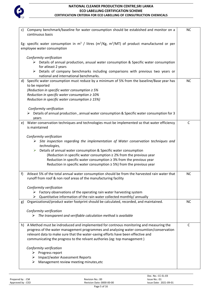

| Company benchmark/baseline for water consumption should be estabished and monitor on a<br>C)<br>continuous basis                                                | <b>NC</b>    |  |
|-----------------------------------------------------------------------------------------------------------------------------------------------------------------|--------------|--|
| Eg: specific water consumption in m <sup>3</sup> / litres (m <sup>3</sup> /Kg, m <sup>3</sup> /MT) of product manufactured or per<br>employee water consumption |              |  |
| Conformity verification                                                                                                                                         |              |  |
| $\triangleright$ Details of annual production, anuual water consumption & Specific water consumption                                                            |              |  |
| for atleast 2 years                                                                                                                                             |              |  |
| Details of company benchmarks including comparisons with previous two years or<br>➤                                                                             |              |  |
| national and international benchmarks.                                                                                                                          |              |  |
| d) Specific water consumption must reduce by a minimum of 5% from the baseline/Base year has                                                                    | <b>NC</b>    |  |
| to be reported                                                                                                                                                  |              |  |
| (Reduction in specific water consumption $\geq 5\%$                                                                                                             |              |  |
| Reduction in specific water consumption $\geq 10\%$                                                                                                             |              |  |
| Reduction in specific water consumption $\geq 15\%$ )                                                                                                           |              |  |
|                                                                                                                                                                 |              |  |
| Conformity verification<br>$\triangleright$ Details of annual production, annual water consumption & Specific water consumption for 3                           |              |  |
| years                                                                                                                                                           |              |  |
| Water conservation techniques and technologies must be implemented so that water efficiency<br>e)                                                               | $\mathsf{C}$ |  |
| is maintained                                                                                                                                                   |              |  |
|                                                                                                                                                                 |              |  |
| Conformity verification                                                                                                                                         |              |  |
| Site inspection regarding the implementation of Water conservation techniques and<br>➤                                                                          |              |  |
| technologies,                                                                                                                                                   |              |  |
| Details of annual water consumption & Specific water consumption<br>➤                                                                                           |              |  |
| (Reduction in specific water consumption $\geq$ 2% from the previous year                                                                                       |              |  |
| Reduction in specific water consumption $\geq$ 3% from the previous year                                                                                        |              |  |
| Reduction in specific water consumption $\geq$ 5%) from the previous year                                                                                       |              |  |
| Atleast 5% of the total annual water consumption should be from the harvested rain water that<br>f)                                                             | <b>NC</b>    |  |
| runoff from roof & non roof areas of the manufacturing facility                                                                                                 |              |  |
|                                                                                                                                                                 |              |  |
| Conformity verification                                                                                                                                         |              |  |
| Factory observations of the operating rain water harvesting system<br>➤                                                                                         |              |  |
| Quantitative information of the rain water collected monthly/ annually<br>➤                                                                                     |              |  |
| Organizational/product water footprint should be calculated, recorded, and maintained.<br>g)                                                                    | <b>NC</b>    |  |
|                                                                                                                                                                 |              |  |
| Conformity verification                                                                                                                                         |              |  |
| $\triangleright$ The transparent and verifiable calculation method is available                                                                                 |              |  |
| A Method must be indroduced and implemented for contnous monitoring and measuring the<br>h)                                                                     | $\mathsf{C}$ |  |
| progress of the water management programmes and analysing water consumtion/conservation                                                                         |              |  |
| relevant data to make sure that the water-saving efforts have been effective and                                                                                |              |  |
| communicating the progress to the relvant authories (eg: top management)                                                                                        |              |  |
|                                                                                                                                                                 |              |  |
| Conformity verification                                                                                                                                         |              |  |
| $\triangleright$ Progress report                                                                                                                                |              |  |
| <b>Impact/water Assessment Reports</b><br>➤                                                                                                                     |              |  |
| Management review meeting minutes, etc<br>➤                                                                                                                     |              |  |
|                                                                                                                                                                 |              |  |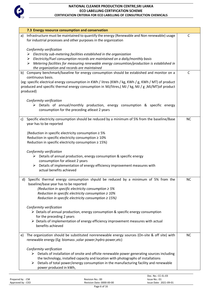

| 7.3 Energy resource consumption and conservation                                                                                                                                                                                                                                                                                                    |           |
|-----------------------------------------------------------------------------------------------------------------------------------------------------------------------------------------------------------------------------------------------------------------------------------------------------------------------------------------------------|-----------|
| Infrastructure must be maintained to quantify the energy (Renewable and Non renewable) usage<br>a)<br>for industrial processes and other purposes in the organization                                                                                                                                                                               | C         |
| Conformity verification<br>Electricity sub-metering facilities established in the organization<br>Electricity/Fuel consumption records are maintained on a daily/monthly basis<br>➤<br>Metering facilities for measuring renewable energy consumtion/production is established in<br>the organization and records are maintained                    |           |
| b) Company benchmark/baseline for energy consumption should be estabished and monitor on a<br>continuous basis.<br>(eg: specific electrical energy consumption in KWh / litres (KWh / kg, KWh / g, KWh / MT) of product<br>produced and specific thermal energy consumption in MJ/litres,(MJ / kg, MJ / g ,MJ/MT) of product<br>produced)           | C         |
| Conformity verification<br>Details of annual/monthly production, energy consumption & specific energy<br>consumption for the preceding atleast 2 years                                                                                                                                                                                              |           |
| Specific electricity consumption should be reduced by a minimum of 5% from the baseline/Base<br>C)<br>year has to be reported                                                                                                                                                                                                                       | <b>NC</b> |
| (Reduction in specific electricity consumption $\geq 5\%$<br>Reduction in specific electricity consumption $\geq 10\%$<br>Reduction in specific electricity consumption $\geq 15\%$ )                                                                                                                                                               |           |
| Conformity verification<br>$\triangleright$ Details of annual production, energy consumption & specific energy<br>consumption for atleast 2 years<br>Details of implementation of energy efficiency improvement measures with<br>➤<br>actual benefits achieved                                                                                      |           |
| d) Specific thermal energy consumption shpuld be reduced by a minimum of 5% from the<br>baseline/base year has to be reported<br>(Reduction in specific electricity consumption $\geq 5\%$<br>Reduction in specific electricity consumption $\geq 10\%$<br>Reduction in specific electricity consumption $\geq 15\%$ )                              | <b>NC</b> |
| Conformity verification<br>$\triangleright$ Details of annual production, energy consumption & specific energy consumption<br>for the preceding 2 years<br>$\triangleright$ Details of implementation of energy efficiency improvement measures with actual<br>benefits achieved                                                                    |           |
| The organization should be substituted nonrenewable energy sources (On-site & off site) with<br>e)<br>renewable energy (Eg: biomass , solar power, hydro power, etc)                                                                                                                                                                                | <b>NC</b> |
| Conformity verification<br>$\triangleright$ Details of installation of onsite and offsite renewable power generating sources including<br>the technology, installed capacity and location with photographs of installations<br>Details of total power/energy consumption in the manufacturing facility and renewable<br>➤<br>power produced in kWh, |           |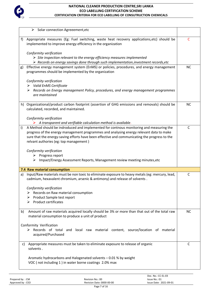

|    | $\triangleright$ Solar connection Agreeement, etc                                                                                                                                                                                  |              |
|----|------------------------------------------------------------------------------------------------------------------------------------------------------------------------------------------------------------------------------------|--------------|
| f) | Appropriate measures (Eg: Fuel switching, waste heat recovery applications, etc) should be<br>implemented to improve energy efficiency in the organization                                                                         | C            |
|    | Conformity verification<br>$\triangleright$ Site inspection relevant to the energy efficiency measures implemented<br>$\triangleright$ Records on energy savings done through such implementation, investment records, etc         |              |
| g) | Effective energy management system (EnMS) or policies, procedures, and energy management<br>programmes should be implemented by the organization                                                                                   | <b>NC</b>    |
|    | Conformity verification                                                                                                                                                                                                            |              |
|    | Valid EnMS Certificate<br>➤<br>Records on Energy management Policy, procedures, and energy management programmes<br>➤<br>are maintained                                                                                            |              |
|    | h) Organizational/product carbon footprint (assertion of GHG emissions and removals) should be<br>calculated, recorded, and maintained.                                                                                            | <b>NC</b>    |
|    | Conformity verification                                                                                                                                                                                                            |              |
| i) | $\triangleright$ A transparent and verifiable calculation method is available.<br>A Method should be indroduced and implemented for contnous monitoring and measuring the                                                          | C            |
|    | progress of the energy management programmes and analysing energy relevant data to make<br>sure that the energy-saving efforts have been effective and communicating the progress to the<br>relvant authories (eg: top management) |              |
|    | Conformity verification<br>$\triangleright$ Progress report<br>Impact/Energy Assessment Reports, Management review meeting minutes, etc<br>➤                                                                                       |              |
|    | 7.4 Raw material consumption                                                                                                                                                                                                       |              |
| a) | Input/Raw materials must be non toxic to eliminate exposure to heavy metals (eg: mercury, lead,<br>cadmium, hexavalent chromium, arsenic & antimony) and release of solvents                                                       | C            |
|    | Conformity verification                                                                                                                                                                                                            |              |
|    | $\triangleright$ Records on Raw material consumption                                                                                                                                                                               |              |
|    | Product Sample test report<br>➤<br><b>Product certificates</b><br>➤                                                                                                                                                                |              |
| b) | Amount of raw materials acquired locally should be 3% or more than that out of the total raw<br>material consumption to produce a unit of product                                                                                  | <b>NC</b>    |
|    | Conformity Verification<br>$\triangleright$ Records of total and local raw material content, source/location of material<br>acquired/Purchased                                                                                     |              |
| c) | Appropriate measures must be taken to eliminate exposure to release of organic<br>solvents.                                                                                                                                        | $\mathsf{C}$ |
|    | Aromatic hydrocarbons and Halogenated solvents - 0.01 % by weight<br>VOC (not including 1) in water borne coatings 2.0% max                                                                                                        |              |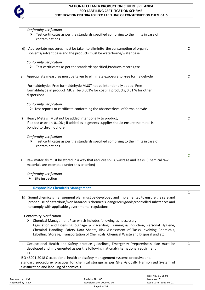

| $\triangleright$ Test certificates as per the standards specified complying to the limits in case of<br>contaminations<br>Appropriate measures must be taken to eliminite the consumption of organic<br>$\mathsf{C}$<br>d)<br>solvents/solvent base and the products must be waterborne/water base<br>Conformity verification<br>$\triangleright$ Test certificates as per the standards specified, Products records, etc<br>Appropriate measures must be taken to eliminate exposure to Free formaldehyde.<br>C<br>e)<br>Formaldehyde; Free formaldehyde MUST not be intentionally added. Free<br>formaldehyde in product MUST be 0.001% for coating products, 0.01 % for other<br>dispersions<br>Conformity verification<br>$\triangleright$ Test reports or certificate conforming the absence/level of formaldehyde<br>Heavy Metals ; Must not be added intentionally to product;<br>C<br>f)<br>if added as driers 0.10%; if added as pigments supplier should ensure the metal is<br>bonded to chromophore<br>Conformity verification<br>$\triangleright$ Test certificates as per the standards specified complying to the limits in case of<br>contaminations<br>$\mathsf{C}$<br>Raw materials must be stored in a way that reduces spills, wastage and leaks. (Chemical raw<br>g)<br>materials are exempted under this criterion)<br>Conformity verification<br>$\triangleright$ Site inspection<br><b>Responsible Chemicals Management</b><br>C<br>Sound chemicals management plan must be developed and implemented to ensure the safe and<br>h)<br>proper use of hazardous/Non hazardous chemicals, dangerous goods/controlled substances and<br>to comply with applicable governmental regulations<br>Conformity Verification<br>Chemical Management Plan which includes following as neccessary:<br>➤<br>Legislation and Licensing, Signage & Placarding, Training & Induction, Personal Hygiene,<br>Chemical Handling, Safety Data Sheets, Risk Assessment of Tasks Involving Chemicals,<br>Labelling, Storage, Transportation of Chemicals, Chemical Waste and Disposal and etc.<br>Occupational Health and Safety practice guidelines, Emergency Preparedness plan must be<br>C<br>i)<br>developed and implemented as per the following national/international requirment<br>Eg:<br>ISO 45001:2018 Occupational health and safety management systems or equivalent.<br>standard procedure/ practices for chemical storage as per GHS -Globally Harmonized System of<br>classification and labelling of chemicals. |                         |  |
|-----------------------------------------------------------------------------------------------------------------------------------------------------------------------------------------------------------------------------------------------------------------------------------------------------------------------------------------------------------------------------------------------------------------------------------------------------------------------------------------------------------------------------------------------------------------------------------------------------------------------------------------------------------------------------------------------------------------------------------------------------------------------------------------------------------------------------------------------------------------------------------------------------------------------------------------------------------------------------------------------------------------------------------------------------------------------------------------------------------------------------------------------------------------------------------------------------------------------------------------------------------------------------------------------------------------------------------------------------------------------------------------------------------------------------------------------------------------------------------------------------------------------------------------------------------------------------------------------------------------------------------------------------------------------------------------------------------------------------------------------------------------------------------------------------------------------------------------------------------------------------------------------------------------------------------------------------------------------------------------------------------------------------------------------------------------------------------------------------------------------------------------------------------------------------------------------------------------------------------------------------------------------------------------------------------------------------------------------------------------------------------------------------------------------------------------------------------------------------------------------------------------------------------|-------------------------|--|
|                                                                                                                                                                                                                                                                                                                                                                                                                                                                                                                                                                                                                                                                                                                                                                                                                                                                                                                                                                                                                                                                                                                                                                                                                                                                                                                                                                                                                                                                                                                                                                                                                                                                                                                                                                                                                                                                                                                                                                                                                                                                                                                                                                                                                                                                                                                                                                                                                                                                                                                                   | Conformity verification |  |
|                                                                                                                                                                                                                                                                                                                                                                                                                                                                                                                                                                                                                                                                                                                                                                                                                                                                                                                                                                                                                                                                                                                                                                                                                                                                                                                                                                                                                                                                                                                                                                                                                                                                                                                                                                                                                                                                                                                                                                                                                                                                                                                                                                                                                                                                                                                                                                                                                                                                                                                                   |                         |  |
|                                                                                                                                                                                                                                                                                                                                                                                                                                                                                                                                                                                                                                                                                                                                                                                                                                                                                                                                                                                                                                                                                                                                                                                                                                                                                                                                                                                                                                                                                                                                                                                                                                                                                                                                                                                                                                                                                                                                                                                                                                                                                                                                                                                                                                                                                                                                                                                                                                                                                                                                   |                         |  |
|                                                                                                                                                                                                                                                                                                                                                                                                                                                                                                                                                                                                                                                                                                                                                                                                                                                                                                                                                                                                                                                                                                                                                                                                                                                                                                                                                                                                                                                                                                                                                                                                                                                                                                                                                                                                                                                                                                                                                                                                                                                                                                                                                                                                                                                                                                                                                                                                                                                                                                                                   |                         |  |
|                                                                                                                                                                                                                                                                                                                                                                                                                                                                                                                                                                                                                                                                                                                                                                                                                                                                                                                                                                                                                                                                                                                                                                                                                                                                                                                                                                                                                                                                                                                                                                                                                                                                                                                                                                                                                                                                                                                                                                                                                                                                                                                                                                                                                                                                                                                                                                                                                                                                                                                                   |                         |  |
|                                                                                                                                                                                                                                                                                                                                                                                                                                                                                                                                                                                                                                                                                                                                                                                                                                                                                                                                                                                                                                                                                                                                                                                                                                                                                                                                                                                                                                                                                                                                                                                                                                                                                                                                                                                                                                                                                                                                                                                                                                                                                                                                                                                                                                                                                                                                                                                                                                                                                                                                   |                         |  |
|                                                                                                                                                                                                                                                                                                                                                                                                                                                                                                                                                                                                                                                                                                                                                                                                                                                                                                                                                                                                                                                                                                                                                                                                                                                                                                                                                                                                                                                                                                                                                                                                                                                                                                                                                                                                                                                                                                                                                                                                                                                                                                                                                                                                                                                                                                                                                                                                                                                                                                                                   |                         |  |
|                                                                                                                                                                                                                                                                                                                                                                                                                                                                                                                                                                                                                                                                                                                                                                                                                                                                                                                                                                                                                                                                                                                                                                                                                                                                                                                                                                                                                                                                                                                                                                                                                                                                                                                                                                                                                                                                                                                                                                                                                                                                                                                                                                                                                                                                                                                                                                                                                                                                                                                                   |                         |  |
|                                                                                                                                                                                                                                                                                                                                                                                                                                                                                                                                                                                                                                                                                                                                                                                                                                                                                                                                                                                                                                                                                                                                                                                                                                                                                                                                                                                                                                                                                                                                                                                                                                                                                                                                                                                                                                                                                                                                                                                                                                                                                                                                                                                                                                                                                                                                                                                                                                                                                                                                   |                         |  |
|                                                                                                                                                                                                                                                                                                                                                                                                                                                                                                                                                                                                                                                                                                                                                                                                                                                                                                                                                                                                                                                                                                                                                                                                                                                                                                                                                                                                                                                                                                                                                                                                                                                                                                                                                                                                                                                                                                                                                                                                                                                                                                                                                                                                                                                                                                                                                                                                                                                                                                                                   |                         |  |
|                                                                                                                                                                                                                                                                                                                                                                                                                                                                                                                                                                                                                                                                                                                                                                                                                                                                                                                                                                                                                                                                                                                                                                                                                                                                                                                                                                                                                                                                                                                                                                                                                                                                                                                                                                                                                                                                                                                                                                                                                                                                                                                                                                                                                                                                                                                                                                                                                                                                                                                                   |                         |  |
|                                                                                                                                                                                                                                                                                                                                                                                                                                                                                                                                                                                                                                                                                                                                                                                                                                                                                                                                                                                                                                                                                                                                                                                                                                                                                                                                                                                                                                                                                                                                                                                                                                                                                                                                                                                                                                                                                                                                                                                                                                                                                                                                                                                                                                                                                                                                                                                                                                                                                                                                   |                         |  |
|                                                                                                                                                                                                                                                                                                                                                                                                                                                                                                                                                                                                                                                                                                                                                                                                                                                                                                                                                                                                                                                                                                                                                                                                                                                                                                                                                                                                                                                                                                                                                                                                                                                                                                                                                                                                                                                                                                                                                                                                                                                                                                                                                                                                                                                                                                                                                                                                                                                                                                                                   |                         |  |
|                                                                                                                                                                                                                                                                                                                                                                                                                                                                                                                                                                                                                                                                                                                                                                                                                                                                                                                                                                                                                                                                                                                                                                                                                                                                                                                                                                                                                                                                                                                                                                                                                                                                                                                                                                                                                                                                                                                                                                                                                                                                                                                                                                                                                                                                                                                                                                                                                                                                                                                                   |                         |  |
|                                                                                                                                                                                                                                                                                                                                                                                                                                                                                                                                                                                                                                                                                                                                                                                                                                                                                                                                                                                                                                                                                                                                                                                                                                                                                                                                                                                                                                                                                                                                                                                                                                                                                                                                                                                                                                                                                                                                                                                                                                                                                                                                                                                                                                                                                                                                                                                                                                                                                                                                   |                         |  |
|                                                                                                                                                                                                                                                                                                                                                                                                                                                                                                                                                                                                                                                                                                                                                                                                                                                                                                                                                                                                                                                                                                                                                                                                                                                                                                                                                                                                                                                                                                                                                                                                                                                                                                                                                                                                                                                                                                                                                                                                                                                                                                                                                                                                                                                                                                                                                                                                                                                                                                                                   |                         |  |
|                                                                                                                                                                                                                                                                                                                                                                                                                                                                                                                                                                                                                                                                                                                                                                                                                                                                                                                                                                                                                                                                                                                                                                                                                                                                                                                                                                                                                                                                                                                                                                                                                                                                                                                                                                                                                                                                                                                                                                                                                                                                                                                                                                                                                                                                                                                                                                                                                                                                                                                                   |                         |  |
|                                                                                                                                                                                                                                                                                                                                                                                                                                                                                                                                                                                                                                                                                                                                                                                                                                                                                                                                                                                                                                                                                                                                                                                                                                                                                                                                                                                                                                                                                                                                                                                                                                                                                                                                                                                                                                                                                                                                                                                                                                                                                                                                                                                                                                                                                                                                                                                                                                                                                                                                   |                         |  |
|                                                                                                                                                                                                                                                                                                                                                                                                                                                                                                                                                                                                                                                                                                                                                                                                                                                                                                                                                                                                                                                                                                                                                                                                                                                                                                                                                                                                                                                                                                                                                                                                                                                                                                                                                                                                                                                                                                                                                                                                                                                                                                                                                                                                                                                                                                                                                                                                                                                                                                                                   |                         |  |
|                                                                                                                                                                                                                                                                                                                                                                                                                                                                                                                                                                                                                                                                                                                                                                                                                                                                                                                                                                                                                                                                                                                                                                                                                                                                                                                                                                                                                                                                                                                                                                                                                                                                                                                                                                                                                                                                                                                                                                                                                                                                                                                                                                                                                                                                                                                                                                                                                                                                                                                                   |                         |  |
|                                                                                                                                                                                                                                                                                                                                                                                                                                                                                                                                                                                                                                                                                                                                                                                                                                                                                                                                                                                                                                                                                                                                                                                                                                                                                                                                                                                                                                                                                                                                                                                                                                                                                                                                                                                                                                                                                                                                                                                                                                                                                                                                                                                                                                                                                                                                                                                                                                                                                                                                   |                         |  |
|                                                                                                                                                                                                                                                                                                                                                                                                                                                                                                                                                                                                                                                                                                                                                                                                                                                                                                                                                                                                                                                                                                                                                                                                                                                                                                                                                                                                                                                                                                                                                                                                                                                                                                                                                                                                                                                                                                                                                                                                                                                                                                                                                                                                                                                                                                                                                                                                                                                                                                                                   |                         |  |
|                                                                                                                                                                                                                                                                                                                                                                                                                                                                                                                                                                                                                                                                                                                                                                                                                                                                                                                                                                                                                                                                                                                                                                                                                                                                                                                                                                                                                                                                                                                                                                                                                                                                                                                                                                                                                                                                                                                                                                                                                                                                                                                                                                                                                                                                                                                                                                                                                                                                                                                                   |                         |  |
|                                                                                                                                                                                                                                                                                                                                                                                                                                                                                                                                                                                                                                                                                                                                                                                                                                                                                                                                                                                                                                                                                                                                                                                                                                                                                                                                                                                                                                                                                                                                                                                                                                                                                                                                                                                                                                                                                                                                                                                                                                                                                                                                                                                                                                                                                                                                                                                                                                                                                                                                   |                         |  |
|                                                                                                                                                                                                                                                                                                                                                                                                                                                                                                                                                                                                                                                                                                                                                                                                                                                                                                                                                                                                                                                                                                                                                                                                                                                                                                                                                                                                                                                                                                                                                                                                                                                                                                                                                                                                                                                                                                                                                                                                                                                                                                                                                                                                                                                                                                                                                                                                                                                                                                                                   |                         |  |
|                                                                                                                                                                                                                                                                                                                                                                                                                                                                                                                                                                                                                                                                                                                                                                                                                                                                                                                                                                                                                                                                                                                                                                                                                                                                                                                                                                                                                                                                                                                                                                                                                                                                                                                                                                                                                                                                                                                                                                                                                                                                                                                                                                                                                                                                                                                                                                                                                                                                                                                                   |                         |  |
|                                                                                                                                                                                                                                                                                                                                                                                                                                                                                                                                                                                                                                                                                                                                                                                                                                                                                                                                                                                                                                                                                                                                                                                                                                                                                                                                                                                                                                                                                                                                                                                                                                                                                                                                                                                                                                                                                                                                                                                                                                                                                                                                                                                                                                                                                                                                                                                                                                                                                                                                   |                         |  |
|                                                                                                                                                                                                                                                                                                                                                                                                                                                                                                                                                                                                                                                                                                                                                                                                                                                                                                                                                                                                                                                                                                                                                                                                                                                                                                                                                                                                                                                                                                                                                                                                                                                                                                                                                                                                                                                                                                                                                                                                                                                                                                                                                                                                                                                                                                                                                                                                                                                                                                                                   |                         |  |
|                                                                                                                                                                                                                                                                                                                                                                                                                                                                                                                                                                                                                                                                                                                                                                                                                                                                                                                                                                                                                                                                                                                                                                                                                                                                                                                                                                                                                                                                                                                                                                                                                                                                                                                                                                                                                                                                                                                                                                                                                                                                                                                                                                                                                                                                                                                                                                                                                                                                                                                                   |                         |  |
|                                                                                                                                                                                                                                                                                                                                                                                                                                                                                                                                                                                                                                                                                                                                                                                                                                                                                                                                                                                                                                                                                                                                                                                                                                                                                                                                                                                                                                                                                                                                                                                                                                                                                                                                                                                                                                                                                                                                                                                                                                                                                                                                                                                                                                                                                                                                                                                                                                                                                                                                   |                         |  |
|                                                                                                                                                                                                                                                                                                                                                                                                                                                                                                                                                                                                                                                                                                                                                                                                                                                                                                                                                                                                                                                                                                                                                                                                                                                                                                                                                                                                                                                                                                                                                                                                                                                                                                                                                                                                                                                                                                                                                                                                                                                                                                                                                                                                                                                                                                                                                                                                                                                                                                                                   |                         |  |
|                                                                                                                                                                                                                                                                                                                                                                                                                                                                                                                                                                                                                                                                                                                                                                                                                                                                                                                                                                                                                                                                                                                                                                                                                                                                                                                                                                                                                                                                                                                                                                                                                                                                                                                                                                                                                                                                                                                                                                                                                                                                                                                                                                                                                                                                                                                                                                                                                                                                                                                                   |                         |  |
|                                                                                                                                                                                                                                                                                                                                                                                                                                                                                                                                                                                                                                                                                                                                                                                                                                                                                                                                                                                                                                                                                                                                                                                                                                                                                                                                                                                                                                                                                                                                                                                                                                                                                                                                                                                                                                                                                                                                                                                                                                                                                                                                                                                                                                                                                                                                                                                                                                                                                                                                   |                         |  |
|                                                                                                                                                                                                                                                                                                                                                                                                                                                                                                                                                                                                                                                                                                                                                                                                                                                                                                                                                                                                                                                                                                                                                                                                                                                                                                                                                                                                                                                                                                                                                                                                                                                                                                                                                                                                                                                                                                                                                                                                                                                                                                                                                                                                                                                                                                                                                                                                                                                                                                                                   |                         |  |
|                                                                                                                                                                                                                                                                                                                                                                                                                                                                                                                                                                                                                                                                                                                                                                                                                                                                                                                                                                                                                                                                                                                                                                                                                                                                                                                                                                                                                                                                                                                                                                                                                                                                                                                                                                                                                                                                                                                                                                                                                                                                                                                                                                                                                                                                                                                                                                                                                                                                                                                                   |                         |  |
|                                                                                                                                                                                                                                                                                                                                                                                                                                                                                                                                                                                                                                                                                                                                                                                                                                                                                                                                                                                                                                                                                                                                                                                                                                                                                                                                                                                                                                                                                                                                                                                                                                                                                                                                                                                                                                                                                                                                                                                                                                                                                                                                                                                                                                                                                                                                                                                                                                                                                                                                   |                         |  |
|                                                                                                                                                                                                                                                                                                                                                                                                                                                                                                                                                                                                                                                                                                                                                                                                                                                                                                                                                                                                                                                                                                                                                                                                                                                                                                                                                                                                                                                                                                                                                                                                                                                                                                                                                                                                                                                                                                                                                                                                                                                                                                                                                                                                                                                                                                                                                                                                                                                                                                                                   |                         |  |
|                                                                                                                                                                                                                                                                                                                                                                                                                                                                                                                                                                                                                                                                                                                                                                                                                                                                                                                                                                                                                                                                                                                                                                                                                                                                                                                                                                                                                                                                                                                                                                                                                                                                                                                                                                                                                                                                                                                                                                                                                                                                                                                                                                                                                                                                                                                                                                                                                                                                                                                                   |                         |  |
|                                                                                                                                                                                                                                                                                                                                                                                                                                                                                                                                                                                                                                                                                                                                                                                                                                                                                                                                                                                                                                                                                                                                                                                                                                                                                                                                                                                                                                                                                                                                                                                                                                                                                                                                                                                                                                                                                                                                                                                                                                                                                                                                                                                                                                                                                                                                                                                                                                                                                                                                   |                         |  |
|                                                                                                                                                                                                                                                                                                                                                                                                                                                                                                                                                                                                                                                                                                                                                                                                                                                                                                                                                                                                                                                                                                                                                                                                                                                                                                                                                                                                                                                                                                                                                                                                                                                                                                                                                                                                                                                                                                                                                                                                                                                                                                                                                                                                                                                                                                                                                                                                                                                                                                                                   |                         |  |
|                                                                                                                                                                                                                                                                                                                                                                                                                                                                                                                                                                                                                                                                                                                                                                                                                                                                                                                                                                                                                                                                                                                                                                                                                                                                                                                                                                                                                                                                                                                                                                                                                                                                                                                                                                                                                                                                                                                                                                                                                                                                                                                                                                                                                                                                                                                                                                                                                                                                                                                                   |                         |  |
|                                                                                                                                                                                                                                                                                                                                                                                                                                                                                                                                                                                                                                                                                                                                                                                                                                                                                                                                                                                                                                                                                                                                                                                                                                                                                                                                                                                                                                                                                                                                                                                                                                                                                                                                                                                                                                                                                                                                                                                                                                                                                                                                                                                                                                                                                                                                                                                                                                                                                                                                   |                         |  |
|                                                                                                                                                                                                                                                                                                                                                                                                                                                                                                                                                                                                                                                                                                                                                                                                                                                                                                                                                                                                                                                                                                                                                                                                                                                                                                                                                                                                                                                                                                                                                                                                                                                                                                                                                                                                                                                                                                                                                                                                                                                                                                                                                                                                                                                                                                                                                                                                                                                                                                                                   |                         |  |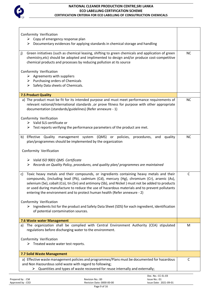

| Conformity Verification                                                                                                                                                    |              |
|----------------------------------------------------------------------------------------------------------------------------------------------------------------------------|--------------|
| $\triangleright$ Copy of emergency response plan                                                                                                                           |              |
| Documentary evidences for applying standards in chemical storage and handling<br>➤                                                                                         |              |
| Green initiatives (such as chemical leasing, shifting to green chemicals and application of green<br>j)                                                                    | <b>NC</b>    |
| chemistry, etc) should be adopted and implimented to design and/or produce cost-competitive<br>chemical products and processes by reducing pollution at its source         |              |
|                                                                                                                                                                            |              |
| Conformity Verification                                                                                                                                                    |              |
| $\triangleright$ Agreements with suppliers<br>$\triangleright$ Purchasing orders of Chemicals                                                                              |              |
| Safety Data sheets of Chemicals.<br>➤                                                                                                                                      |              |
| <b>7.5 Product Quality</b>                                                                                                                                                 |              |
| a) The product must be fit for its intended purpose and must meet performance requirements of                                                                              | <b>NC</b>    |
| relevant national/International standards , or prove fitness for purpose with other appropriate                                                                            |              |
| documentation (standards/guidelines) (Refer annexure - 1)                                                                                                                  |              |
| Conformity Verification                                                                                                                                                    |              |
| $\triangleright$ Valid SLS certificate or                                                                                                                                  |              |
| $\triangleright$ Test reports verifying the performance parameters of the product are met.                                                                                 |              |
| b) Effective Quality management system (QMS) or policies, procedures, and<br>quality                                                                                       | <b>NC</b>    |
| plan/programmes should be implemented by the organization                                                                                                                  |              |
| Conformity Verification                                                                                                                                                    |              |
| > Valid ISO 9001 QMS Certificate                                                                                                                                           |              |
| $\triangleright$ Records on Quality Policy, procedures, and quality plan/ programmes are maintained                                                                        |              |
| Toxic heavy metals and their compounds, or ingredients containing heavy metals and their<br>c)                                                                             | $\mathsf{C}$ |
| compounds, (including lead (Pb), cadmium (Cd), mercury (Hg), chromium (Cr), arsenic (As),                                                                                  |              |
| selenium (Se), cobalt (Co), tin (Sn) and antimony (Sb), and Nickel) must not be added to products                                                                          |              |
| or used during manufacture to reduce the use of hazardous materials and to prevent pollutants<br>entering the environment and to protect human health (Refer annexure - 2) |              |
|                                                                                                                                                                            |              |
| Conformity Verification<br>Ingredients list for the product and Safety Data Sheet (SDS) for each ingredient, identification<br>➤                                           |              |
| of potential contamination sources.                                                                                                                                        |              |
| 7.6 Waste water Management                                                                                                                                                 |              |
| The organization shall be complied with Central Environment Authority (CEA) stipulated<br>a)                                                                               | M            |
| regulations before discharging water to the environment.                                                                                                                   |              |
| Conformity Verification                                                                                                                                                    |              |
| $\triangleright$ Treated waste water test reports.                                                                                                                         |              |
| 7.7 Solid Waste Management                                                                                                                                                 |              |
| a) Effective waste management policies and programmes/Plans must be documented for hazardous                                                                               | $\mathsf{C}$ |
| and Non Hazourdous solid waste with regard to following;                                                                                                                   |              |
| Quantities and types of waste recovered for reuse internally and externally;<br>➤                                                                                          |              |
| Doc. No.: CC-EL-03                                                                                                                                                         |              |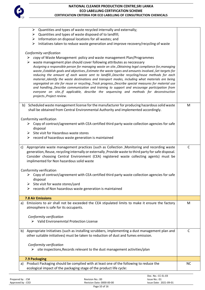

| $\triangleright$ Quantities and types of waste recycled internally and externally;                                                                                                                                                                                                                                                                                                                                                                                                                                                                                                                                                                                                                                                                                                                                                                                                                                             |              |
|--------------------------------------------------------------------------------------------------------------------------------------------------------------------------------------------------------------------------------------------------------------------------------------------------------------------------------------------------------------------------------------------------------------------------------------------------------------------------------------------------------------------------------------------------------------------------------------------------------------------------------------------------------------------------------------------------------------------------------------------------------------------------------------------------------------------------------------------------------------------------------------------------------------------------------|--------------|
| Quantities and types of waste disposed of to landfill;<br>➤<br>$\triangleright$ Information on disposal locations for all wastes; and                                                                                                                                                                                                                                                                                                                                                                                                                                                                                                                                                                                                                                                                                                                                                                                          |              |
| Initiatives taken to reduce waste generation and improve recovery/recycling of waste<br>➤                                                                                                                                                                                                                                                                                                                                                                                                                                                                                                                                                                                                                                                                                                                                                                                                                                      |              |
| Conformity verification<br>$\triangleright$ copy of Waste Management policy and waste management Plan/Programmes<br>waste management plan should cover following attributes as neccessary<br>Assigning a responsible person for managing waste on site., Obtaining legal compliance for, managing<br>waste., Establish goals and objectives., Estimate the waste types and amounts involved., Set targets for<br>reducing the amount of each waste sent to landfill., Describe recycling/reuse methods for each<br>material., Identify the waste destinations and transport modes, including what materials are being<br>segregated on site for reuse or recycling., Track progress., Describe special measures for material use<br>and handling., Describe communication and training to support and encourage participation from<br>everyone on site., If applicable, describe the sequencing and methods for deconstruction |              |
| projects., Project review.                                                                                                                                                                                                                                                                                                                                                                                                                                                                                                                                                                                                                                                                                                                                                                                                                                                                                                     |              |
| b) Scheduled waste management license for the manufacturer for producing hazardous solid waste<br>shall be obtained from Central Environmental Authority and implemented accordingly.                                                                                                                                                                                                                                                                                                                                                                                                                                                                                                                                                                                                                                                                                                                                          | M            |
| Conformity verification                                                                                                                                                                                                                                                                                                                                                                                                                                                                                                                                                                                                                                                                                                                                                                                                                                                                                                        |              |
| $\triangleright$ Copy of contract/agreement with CEA certified third party waste collection agencies for safe<br>disposal                                                                                                                                                                                                                                                                                                                                                                                                                                                                                                                                                                                                                                                                                                                                                                                                      |              |
| $\triangleright$ Site visit for Hazardous waste stores                                                                                                                                                                                                                                                                                                                                                                                                                                                                                                                                                                                                                                                                                                                                                                                                                                                                         |              |
| $\triangleright$ record of hazardous waste generation is maintained                                                                                                                                                                                                                                                                                                                                                                                                                                                                                                                                                                                                                                                                                                                                                                                                                                                            |              |
| Appropriate waste management practices (such as Collection , Monitoring and recording waste<br>c)<br>generation, Reuse, recycling internally or externally, Provide waste to third party for safe disposal.<br>Consider choosing Central Environment (CEA) registered waste collecting agents) must be<br>implimented for Non hazardous solid waste                                                                                                                                                                                                                                                                                                                                                                                                                                                                                                                                                                            | C            |
| Conformity verification                                                                                                                                                                                                                                                                                                                                                                                                                                                                                                                                                                                                                                                                                                                                                                                                                                                                                                        |              |
| Copy of contract/agreement with CEA certified third party waste collection agencies for safe<br>disposal<br>Site visit for waste stores/yard<br>➤                                                                                                                                                                                                                                                                                                                                                                                                                                                                                                                                                                                                                                                                                                                                                                              |              |
| records of Non hazardous waste generation is maintained<br>➤                                                                                                                                                                                                                                                                                                                                                                                                                                                                                                                                                                                                                                                                                                                                                                                                                                                                   |              |
| <b>7.8 Air Emissions</b>                                                                                                                                                                                                                                                                                                                                                                                                                                                                                                                                                                                                                                                                                                                                                                                                                                                                                                       |              |
| Emissions to air shall not be exceeded the CEA stipulated limits to make it ensure the factory<br>a)<br>atmosphere is safe for its occupants.                                                                                                                                                                                                                                                                                                                                                                                                                                                                                                                                                                                                                                                                                                                                                                                  | M            |
| Conformity verification<br>> Valid Environemntal Protection License                                                                                                                                                                                                                                                                                                                                                                                                                                                                                                                                                                                                                                                                                                                                                                                                                                                            |              |
| Appropriate Initiatives (such as installing scrubbers, implementing a dust management plan and<br>b)<br>other suitable initiatives) must be taken to reduction of dust and fumes emission.                                                                                                                                                                                                                                                                                                                                                                                                                                                                                                                                                                                                                                                                                                                                     | $\mathsf{C}$ |
| Conformity verification<br>$\triangleright$ site inspections, Records relevant to the dust management activities/plan                                                                                                                                                                                                                                                                                                                                                                                                                                                                                                                                                                                                                                                                                                                                                                                                          |              |
| 7.9 Packaging                                                                                                                                                                                                                                                                                                                                                                                                                                                                                                                                                                                                                                                                                                                                                                                                                                                                                                                  |              |
| Product Packaging should be complied with at least one of the following to reduce the<br>a)<br>ecological impact of the packaging stage of the product life cycle:                                                                                                                                                                                                                                                                                                                                                                                                                                                                                                                                                                                                                                                                                                                                                             | <b>NC</b>    |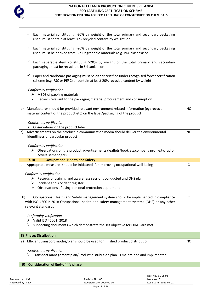

| Each material constituting >20% by weight of the total primary and secondary packaging<br>✓<br>used, must contain at least 30% recycled content by weight; or                                                 |              |
|---------------------------------------------------------------------------------------------------------------------------------------------------------------------------------------------------------------|--------------|
| Each material constituting >20% by weight of the total primary and secondary packaging<br>$\checkmark$<br>used, must be derived from Bio Degredable materials (e.g. PLA plastics); or                         |              |
| Each separable item constituting >20% by weight of the total primary and secondary<br>$\checkmark$<br>packaging, must be recyclable in Sri Lanka. or                                                          |              |
| Paper and cardboard packaging must be either certified under recognised forest certification<br>✓<br>scheme (e.g. FSC or PEFC) or contain at least 20% recycled content by weight                             |              |
| Conformity verification<br>$\triangleright$ MSDS of packing materials<br>Records relevant to the packaging material procurement and consumption<br>➤                                                          |              |
| Manufacturer should be provided relevant environment related information (eg: recycle<br>b)<br>material content of the product, etc) on the label/packaging of the product                                    | <b>NC</b>    |
| Conformity verification                                                                                                                                                                                       |              |
| $\triangleright$ Observations on the product label                                                                                                                                                            |              |
| Advertisements on the product in communication media should deliver the environmental<br>c)<br>friendliness of particular product<br>Conformity verification                                                  | <b>NC</b>    |
| $\triangleright$ Observations on the product advertisements (leaflets/booklets, company profile, tv/radio<br>advertisement, etc)                                                                              |              |
| 7.10<br><b>Occupational Health and Safety</b>                                                                                                                                                                 |              |
| Appropriate measures should be Initiateed for improving occupational well-being<br>a)                                                                                                                         | $\mathsf{C}$ |
| Conformity verification                                                                                                                                                                                       |              |
| $\triangleright$ Records of training and awareness sessions conducted and OHS plan,                                                                                                                           |              |
| Incident and Accident register,                                                                                                                                                                               |              |
| Observations of using personal protection equipment.<br>➤                                                                                                                                                     |              |
|                                                                                                                                                                                                               |              |
| b)<br>Occupational Health and Safety management system should be implemented in compliance<br>with ISO 45001: 2018 Occupational health and safety management systems (OHS) or any other<br>relevant standards | $\mathsf{C}$ |
| Conformity verification                                                                                                                                                                                       |              |
| Valid ISO 45001: 2018<br>➤                                                                                                                                                                                    |              |
| supporting documents which demonstrate the set objective for OH&S are met.<br>➤                                                                                                                               |              |
| 8) Phase: Distribution                                                                                                                                                                                        |              |
| Efficient transport modes/plan should be used for finished product distribution<br>a)                                                                                                                         | <b>NC</b>    |
|                                                                                                                                                                                                               |              |
| Conformity verification<br>Transport management plan/Product distribution plan is maintained and implimented                                                                                                  |              |
|                                                                                                                                                                                                               |              |
| <b>Consideration of End-of life phase</b><br>9)                                                                                                                                                               |              |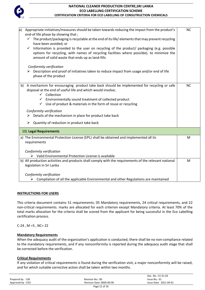

| Appropriate initiatives/measures should be taken towards reducing the impact from the product's<br> a <br>end-of life phase by showing that;                                                                                                |           |  |
|---------------------------------------------------------------------------------------------------------------------------------------------------------------------------------------------------------------------------------------------|-----------|--|
| $\checkmark$ The product/packaging is recyclable at the end of its life/elements that may prevent recycling<br>have been avoided; or                                                                                                        |           |  |
| Information is provided to the user on recycling of the product/ packaging (e.g. possible<br>options for recycling, with names of recycling facilities where possible). to minimize the<br>amount of solid waste that ends up as land-fills |           |  |
| Conformity verification                                                                                                                                                                                                                     |           |  |
| $\triangleright$ Description and proof of initiatives taken to reduce impact from usage and/or end of life<br>phase of the product                                                                                                          |           |  |
| b) A mechanism for encouraging product take back should be implemented for recycling or safe<br>disposal at the end of useful life and which would involve;<br>$\checkmark$ Collection                                                      | <b>NC</b> |  |
| $\checkmark$ Environmentally sound treatment of collected product                                                                                                                                                                           |           |  |
| $\checkmark$ Use of product & materials in the form of reuse or recycling                                                                                                                                                                   |           |  |
| Conformity verification                                                                                                                                                                                                                     |           |  |
| Details of the mechanism in place for product take back                                                                                                                                                                                     |           |  |
|                                                                                                                                                                                                                                             |           |  |
| Quantity of reduction in product take back<br>≻                                                                                                                                                                                             |           |  |
| 10) Legal Requirements                                                                                                                                                                                                                      |           |  |
| a) The Environmental Protection License (EPL) shall be obtained and implemented all its<br>requirements                                                                                                                                     | M         |  |
| Conformity verification                                                                                                                                                                                                                     |           |  |
| > Valid Environmental Protection License is available                                                                                                                                                                                       |           |  |
| b) All production activities and products shall comply with the requirements of the relevant national                                                                                                                                       | M         |  |
| legislation in Sri Lanka                                                                                                                                                                                                                    |           |  |
| Conformity verification                                                                                                                                                                                                                     |           |  |
| $\triangleright$ Compilation of all the applicable Environmental and other Regulations are maintained                                                                                                                                       |           |  |

### **INSTRUCTIONS FOR USERS**

This criteria document contains 51 requirements; 05 Mandatory requirements, 24 critical requirements, and 22 non-critical requirements. marks are allocated for each criterion except Mandatory criteria. At least 70% of the total marks allocation for the criteria shall be scored from the applicant for being successful in the Eco Labelling certification process.

C-24 , M =5 , NC= 22

# **Mandatory Requirements**

When the adequacy audit of the organization's application is conducted, there shall be no non-compliance related to the mandatory requirements, and if any nonconformity is reported during the adequacy audit stage that shall be corrected before the verification.

### **Critical Requirements**

If any violation of critical requirements is found during the verification visit, a major nonconformity will be raised, and for which suitable corrective action shall be taken within two months.

|                   |                           | Doc. No.: CC-EL-03     |
|-------------------|---------------------------|------------------------|
| Prepared by : CM  | Revision No.: 00          | Issue No.: 01          |
| Approved by : CEO | Revision Date: 0000-00-00 | Issue Date: 2021-09-01 |
|                   | Page 12 of 16             |                        |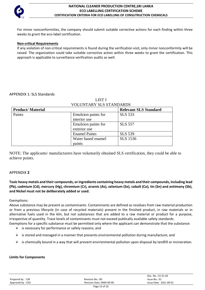

For minor nonconformities, the company should submit suitable corrective actions for each finding within three weeks to grant the eco-label certification.

### **Non-critical Requirements**

If any violation of non-critical requirements is found during the verification visit, only minor nonconformity will be raised. The organization could take suitable corrective action within three weeks to grant the certification. This approach is applicable to surveillance verification audits as well.

### APPENDIX 1: SLS Standards

|                          | <b>VOLUNTARY SLS STANDARDS</b> |                              |  |
|--------------------------|--------------------------------|------------------------------|--|
| <b>Product/ Material</b> |                                | <b>Relevant SLS Standard</b> |  |
| Paints                   | Emulsion paints for            | <b>SLS 533</b>               |  |
|                          | interior use                   |                              |  |
|                          | Emulsion paints for            | <b>SLS 557</b>               |  |
|                          | exterior use                   |                              |  |
|                          | <b>Enamel Paints</b>           | <b>SLS 539</b>               |  |
|                          | Water based enamel             | <b>SLS</b> 1536              |  |
|                          | paints                         |                              |  |

LIST I

NOTE: The applicants/ manufacturers have voluntarily obtained SLS certification, they could be able to achieve points.

### APPENDIX **2**

**Toxic heavy metals and their compounds, or ingredients containing heavy metals and their compounds, including lead (Pb), cadmium (Cd), mercury (Hg), chromium (Cr), arsenic (As), selenium (Se), cobalt (Co), tin (Sn) and antimony (Sb), and Nickel must not be deliberately added or used.**

### Exemptions:

Above substance may be present as contaminants. Contaminants are defined as residues from raw material production or from a previous lifecycle (in case of recycled materials) present in the finished product, in raw materials or in alternative fuels used in the kiln, but not substances that are added to a raw material or product for a purpose, irrespective of quantity. Trace levels of contaminants must not exceed publically available safety standards.

- Exemptions for a specific substance must be permitted only where the applicant can demonstrate that the substance:
	- $\triangleright$  is necessary for performance or safety reasons; and
	- $\triangleright$  is stored and managed in a manner that prevents environmental pollution during manufacture; and
	- $\triangleright$  is chemically bound in a way that will prevent environmental pollution upon disposal by landfill or incineration.

### **Limits for Components**

|                   |                           | Doc. No.: CC-EL-03     |
|-------------------|---------------------------|------------------------|
| Prepared by: CM   | Revision No.: 00          | Issue No.: 01          |
| Approved by : CEO | Revision Date: 0000-00-00 | Issue Date: 2021-09-01 |
|                   |                           |                        |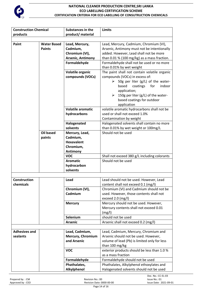

| <b>Construction Chemical</b> |                    | <b>Substances in the</b>     | <b>Limits</b>                                |
|------------------------------|--------------------|------------------------------|----------------------------------------------|
| products                     |                    | product/ material            |                                              |
|                              |                    |                              |                                              |
| Paint                        | <b>Water Based</b> | Lead, Mercury,               | Lead, Mercury, Cadmium, Chromium (VI),       |
|                              | <b>Paints</b>      | Cadmium,                     | Arsenic, Antimony must not be intentionally  |
|                              |                    | Chromium (VI),               | added. However, Lead shall not be more       |
|                              |                    | <b>Arsenic, Antimony</b>     | than 0.01 % (100 mg/kg) as a mass fraction.  |
|                              |                    | Formaldehyde                 | Formaldehyde shall not be used or no more    |
|                              |                    |                              | than 0.01% by wet weight                     |
|                              |                    | Volatile organic             | The paint shall not contain volatile organic |
|                              |                    | compounds (VOCs)             | compounds (VOCs) in excess of:               |
|                              |                    |                              | 50g per liter (g/L) of the water-<br>➤       |
|                              |                    |                              | based<br>coatings<br>for<br>indoor           |
|                              |                    |                              | application;                                 |
|                              |                    |                              | $\geq$ 150g per liter (g/L) of the water-    |
|                              |                    |                              | based coatings for outdoor                   |
|                              |                    |                              | application                                  |
|                              |                    | <b>Volatile aromatic</b>     | volatile aromatic hydrocarbons shall not be  |
|                              |                    |                              | used or shall not exceed 1.0%                |
|                              |                    | hydrocarbons                 |                                              |
|                              |                    |                              | Contamination by weight                      |
|                              |                    | Halogenated                  | Halogenated solvents shall contain no more   |
|                              |                    | solvents                     | than 0.01% by wet weight or 100mg/L          |
|                              | <b>Oil based</b>   | Mercury, Lead,               | Should not be used                           |
|                              | paints             | Cadmium,                     |                                              |
|                              |                    | <b>Hexavalent</b>            |                                              |
|                              |                    | Chromium,                    |                                              |
|                              |                    | <b>Antimony</b>              |                                              |
|                              |                    | <b>VOC</b>                   | Shall not exceed 380 g/L including colorants |
|                              |                    | <b>Aromatic</b>              | Should not be used                           |
|                              |                    | hydrocarbon                  |                                              |
|                              |                    | solvents                     |                                              |
|                              |                    |                              |                                              |
| <b>Construction</b>          |                    | Lead                         | Lead should not be used. However, Lead       |
| chemicals                    |                    |                              | content shall not exceed 0.1 (mg/l)          |
|                              |                    | Chromium (VI),               | Chromium (VI) and Cadmium should not be      |
|                              |                    | Cadmium                      | used. However, those contents shall not      |
|                              |                    |                              | exceed $2.0$ (mg/l)                          |
|                              |                    | <b>Mercury</b>               | Mercury should not be used. However,         |
|                              |                    |                              | Mercury contents shall not exceed 0.01       |
|                              |                    |                              | (mg/l)                                       |
|                              |                    | Selenium                     | should not be used                           |
|                              |                    | <b>Arsenic</b>               | Arsenic shall not exceed 0.2 (mg/l)          |
|                              |                    |                              |                                              |
| <b>Adhesives and</b>         |                    | Lead, Cadmium,               | Lead, Cadmium, Mercury, Chromium and         |
| sealants                     |                    | Mercury, Chromium            | Arsenic should not be used. However,         |
|                              |                    | and Arsenic                  | volume of lead (Pb) is limited only for less |
|                              |                    |                              | than 100 mg/kg                               |
|                              |                    | <b>VOC</b>                   | exterior products should be less than 1.0 %  |
|                              |                    |                              | as a mass fraction                           |
|                              |                    |                              | Formaldehyde should not be used              |
|                              |                    | Formaldehyde<br>Phathalates, |                                              |
|                              |                    |                              | Phathalates, Alkylphenol ethoxylates and     |
|                              |                    | Alkylphenol                  | Halogenated solvents should not be used      |